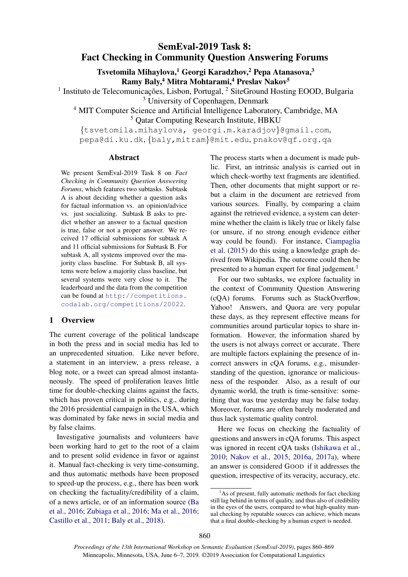# SemEval-2019 Task 8: Fact Checking in Community Question Answering Forums

Tsvetomila Mihaylova,<sup>1</sup> Georgi Karadzhov,<sup>2</sup> Pepa Atanasova,<sup>3</sup> Ramy Baly,<sup>4</sup> Mitra Mohtarami,<sup>4</sup> Preslav Nakov<sup>5</sup>

<sup>1</sup> Instituto de Telecomunicações, Lisbon, Portugal, <sup>2</sup> SiteGround Hosting EOOD, Bulgaria

<sup>3</sup> University of Copenhagen, Denmark

<sup>4</sup> MIT Computer Science and Artificial Intelligence Laboratory, Cambridge, MA <sup>5</sup> Qatar Computing Research Institute, HBKU

{tsvetomila.mihaylova, georgi.m.karadjov}@gmail.com, pepa@di.ku.dk, {baly,mitram}@mit.edu, pnakov@qf.org.qa

#### Abstract

We present SemEval-2019 Task 8 on *Fact Checking in Community Question Answering Forums*, which features two subtasks. Subtask A is about deciding whether a question asks for factual information vs. an opinion/advice vs. just socializing. Subtask B asks to predict whether an answer to a factual question is true, false or not a proper answer. We received 17 official submissions for subtask A and 11 official submissions for Subtask B. For subtask A, all systems improved over the majority class baseline. For Subtask B, all systems were below a majority class baseline, but several systems were very close to it. The leaderboard and the data from the competition can be found at [http://competitions.](http://competitions.codalab.org/competitions/20022) [codalab.org/competitions/20022](http://competitions.codalab.org/competitions/20022).

# 1 Overview

The current coverage of the political landscape in both the press and in social media has led to an unprecedented situation. Like never before, a statement in an interview, a press release, a blog note, or a tweet can spread almost instantaneously. The speed of proliferation leaves little time for double-checking claims against the facts, which has proven critical in politics, e.g., during the 2016 presidential campaign in the USA, which was dominated by fake news in social media and by false claims.

Investigative journalists and volunteers have been working hard to get to the root of a claim and to present solid evidence in favor or against it. Manual fact-checking is very time-consuming, and thus automatic methods have been proposed to speed-up the process, e.g., there has been work on checking the factuality/credibility of a claim, of a news article, or of an information source [\(Ba](#page-7-0) [et al.,](#page-7-0) [2016;](#page-7-0) [Zubiaga et al.,](#page-9-0) [2016;](#page-9-0) [Ma et al.,](#page-8-0) [2016;](#page-8-0) [Castillo et al.,](#page-7-1) [2011;](#page-7-1) [Baly et al.,](#page-7-2) [2018\)](#page-7-2).

The process starts when a document is made public. First, an intrinsic analysis is carried out in which check-worthy text fragments are identified. Then, other documents that might support or rebut a claim in the document are retrieved from various sources. Finally, by comparing a claim against the retrieved evidence, a system can determine whether the claim is likely true or likely false (or unsure, if no strong enough evidence either way could be found). For instance, [Ciampaglia](#page-7-3) [et al.](#page-7-3) [\(2015\)](#page-7-3) do this using a knowledge graph derived from Wikipedia. The outcome could then be presented to a human expert for final judgement.<sup>[1](#page-0-0)</sup>

For our two subtasks, we explore factuality in the context of Community Question Answering (cQA) forums. Forums such as StackOverflow, Yahoo! Answers, and Quora are very popular these days, as they represent effective means for communities around particular topics to share information. However, the information shared by the users is not always correct or accurate. There are multiple factors explaining the presence of incorrect answers in cQA forums, e.g., misunderstanding of the question, ignorance or maliciousness of the responder. Also, as a result of our dynamic world, the truth is time-sensitive: something that was true yesterday may be false today. Moreover, forums are often barely moderated and thus lack systematic quality control.

Here we focus on checking the factuality of questions and answers in cQA forums. This aspect was ignored in recent cQA tasks [\(Ishikawa et al.,](#page-8-1) [2010;](#page-8-1) [Nakov et al.,](#page-9-1) [2015,](#page-9-1) [2016a,](#page-9-2) [2017a\)](#page-9-3), where an answer is considered GOOD if it addresses the question, irrespective of its veracity, accuracy, etc.

<span id="page-0-0"></span> $<sup>1</sup>$ As of present, fully automatic methods for fact checking</sup> still lag behind in terms of quality, and thus also of credibility in the eyes of the users, compared to what high-quality manual checking by reputable sources can achieve, which means that a final double-checking by a human expert is needed.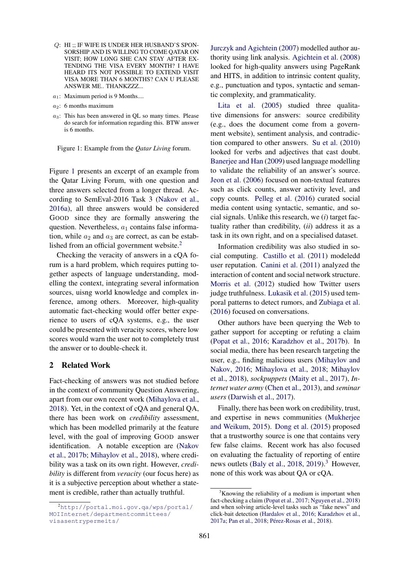- Q: HI ;; IF WIFE IS UNDER HER HUSBAND'S SPON-SORSHIP AND IS WILLING TO COME QATAR ON VISIT; HOW LONG SHE CAN STAY AFTER EX-TENDING THE VISA EVERY MONTH? I HAVE HEARD ITS NOT POSSIBLE TO EXTEND VISIT VISA MORE THAN 6 MONTHS? CAN U PLEASE ANSWER ME.. THANKZZZ...
- $a_1$ : Maximum period is 9 Months....
- $a_2$ : 6 months maximum
- $a_3$ : This has been answered in QL so many times. Please do search for information regarding this. BTW answer is 6 months.

<span id="page-1-0"></span>Figure 1: Example from the *Qatar Living* forum.

Figure [1](#page-1-0) presents an excerpt of an example from the Qatar Living Forum, with one question and three answers selected from a longer thread. According to SemEval-2016 Task 3 [\(Nakov et al.,](#page-9-2) [2016a\)](#page-9-2), all three answers would be considered GOOD since they are formally answering the question. Nevertheless,  $a_1$  contains false information, while  $a_2$  and  $a_3$  are correct, as can be estab-lished from an official government website.<sup>[2](#page-1-1)</sup>

Checking the veracity of answers in a cQA forum is a hard problem, which requires putting together aspects of language understanding, modelling the context, integrating several information sources, uisng world knowledge and complex inference, among others. Moreover, high-quality automatic fact-checking would offer better experience to users of cQA systems, e.g., the user could be presented with veracity scores, where low scores would warn the user not to completely trust the answer or to double-check it.

# 2 Related Work

Fact-checking of answers was not studied before in the context of community Question Answering, apart from our own recent work [\(Mihaylova et al.,](#page-8-2) [2018\)](#page-8-2). Yet, in the context of cQA and general QA, there has been work on *credibility* assessment, which has been modelled primarily at the feature level, with the goal of improving GOOD answer identification. A notable exception are [\(Nakov](#page-9-4) [et al.,](#page-9-4) [2017b;](#page-9-4) [Mihaylov et al.,](#page-8-3) [2018\)](#page-8-3), where credibility was a task on its own right. However, *credibility* is different from *veracity* (our focus here) as it is a subjective perception about whether a statement is credible, rather than actually truthful.

[Jurczyk and Agichtein](#page-8-4) [\(2007\)](#page-8-4) modelled author authority using link analysis. [Agichtein et al.](#page-7-4) [\(2008\)](#page-7-4) looked for high-quality answers using PageRank and HITS, in addition to intrinsic content quality, e.g., punctuation and typos, syntactic and semantic complexity, and grammaticality.

[Lita et al.](#page-8-5) [\(2005\)](#page-8-5) studied three qualitative dimensions for answers: source credibility (e.g., does the document come from a government website), sentiment analysis, and contradiction compared to other answers. [Su et al.](#page-9-5) [\(2010\)](#page-9-5) looked for verbs and adjectives that cast doubt. [Banerjee and Han](#page-7-5) [\(2009\)](#page-7-5) used language modelling to validate the reliability of an answer's source. [Jeon et al.](#page-8-6) [\(2006\)](#page-8-6) focused on non-textual features such as click counts, answer activity level, and copy counts. [Pelleg et al.](#page-9-6) [\(2016\)](#page-9-6) curated social media content using syntactic, semantic, and social signals. Unlike this research, we (*i*) target factuality rather than credibility, (*ii*) address it as a task in its own right, and on a specialised dataset.

Information credibility was also studied in social computing. [Castillo et al.](#page-7-1) [\(2011\)](#page-7-1) modeledd user reputation. [Canini et al.](#page-7-6) [\(2011\)](#page-7-6) analyzed the interaction of content and social network structure. [Morris et al.](#page-8-7) [\(2012\)](#page-8-7) studied how Twitter users judge truthfulness. [Lukasik et al.](#page-8-8) [\(2015\)](#page-8-8) used temporal patterns to detect rumors, and [Zubiaga et al.](#page-9-0) [\(2016\)](#page-9-0) focused on conversations.

Other authors have been querying the Web to gather support for accepting or refuting a claim [\(Popat et al.,](#page-9-7) [2016;](#page-9-7) [Karadzhov et al.,](#page-8-9) [2017b\)](#page-8-9). In social media, there has been research targeting the user, e.g., finding malicious users [\(Mihaylov and](#page-8-10) [Nakov,](#page-8-10) [2016;](#page-8-10) [Mihaylova et al.,](#page-8-2) [2018;](#page-8-2) [Mihaylov](#page-8-3) [et al.,](#page-8-3) [2018\)](#page-8-3), *sockpuppets* [\(Maity et al.,](#page-8-11) [2017\)](#page-8-11), *Internet water army* [\(Chen et al.,](#page-7-7) [2013\)](#page-7-7), and *seminar users* [\(Darwish et al.,](#page-7-8) [2017\)](#page-7-8).

Finally, there has been work on credibility, trust, and expertise in news communities [\(Mukherjee](#page-8-12) [and Weikum,](#page-8-12) [2015\)](#page-8-12). [Dong et al.](#page-7-9) [\(2015\)](#page-7-9) proposed that a trustworthy source is one that contains very few false claims. Recent work has also focused on evaluating the factuality of reporting of entire news outlets [\(Baly et al.,](#page-7-2)  $2018$ ,  $2019$ ).<sup>[3](#page-1-2)</sup> However, none of this work was about QA or cQA.

<span id="page-1-1"></span> $^{2}$ [http://portal.moi.gov.qa/wps/portal/](http://portal.moi.gov.qa/wps/portal/MOIInternet/departmentcommittees/visasentrypermeits/) [MOIInternet/departmentcommittees/](http://portal.moi.gov.qa/wps/portal/MOIInternet/departmentcommittees/visasentrypermeits/) [visasentrypermeits/](http://portal.moi.gov.qa/wps/portal/MOIInternet/departmentcommittees/visasentrypermeits/)

<span id="page-1-2"></span><sup>&</sup>lt;sup>3</sup>Knowing the reliability of a medium is important when fact-checking a claim [\(Popat et al.,](#page-9-8) [2017;](#page-9-8) [Nguyen et al.,](#page-9-9) [2018\)](#page-9-9) and when solving article-level tasks such as "fake news" and click-bait detection [\(Hardalov et al.,](#page-8-13) [2016;](#page-8-13) [Karadzhov et al.,](#page-8-14) [2017a;](#page-8-14) [Pan et al.,](#page-9-10) [2018;](#page-9-10) Pérez-Rosas et al., [2018\)](#page-9-11).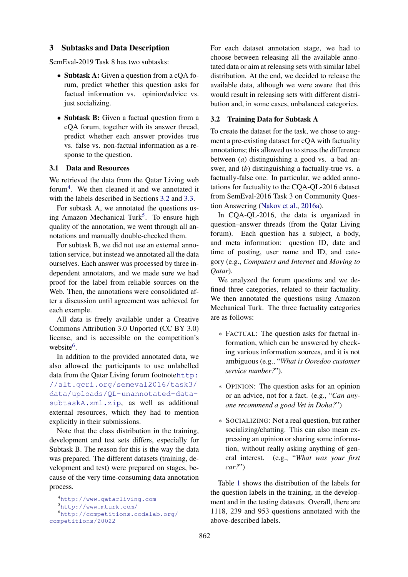#### 3 Subtasks and Data Description

SemEval-2019 Task 8 has two subtasks:

- Subtask A: Given a question from a cOA forum, predict whether this question asks for factual information vs. opinion/advice vs. just socializing.
- Subtask B: Given a factual question from a cQA forum, together with its answer thread, predict whether each answer provides true vs. false vs. non-factual information as a response to the question.

# 3.1 Data and Resources

We retrieved the data from the Qatar Living web forum<sup>[4](#page-2-0)</sup>. We then cleaned it and we annotated it with the labels described in Sections [3.2](#page-2-1) and [3.3.](#page-3-0)

For subtask A, we annotated the questions us-ing Amazon Mechanical Turk<sup>[5](#page-2-2)</sup>. To ensure high quality of the annotation, we went through all annotations and manually double-checked them.

For subtask B, we did not use an external annotation service, but instead we annotated all the data ourselves. Each answer was processed by three independent annotators, and we made sure we had proof for the label from reliable sources on the Web. Then, the annotations were consolidated after a discussion until agreement was achieved for each example.

All data is freely available under a Creative Commons Attribution 3.0 Unported (CC BY 3.0) license, and is accessible on the competition's website<sup>[6](#page-2-3)</sup>.

In addition to the provided annotated data, we also allowed the participants to use unlabelled data from the Qatar Living forum footnote[http:](http://alt.qcri.org/semeval2016/task3/data/uploads/QL-unannotated-data-subtaskA.xml.zip) [//alt.qcri.org/semeval2016/task3/](http://alt.qcri.org/semeval2016/task3/data/uploads/QL-unannotated-data-subtaskA.xml.zip) [data/uploads/QL-unannotated-data](http://alt.qcri.org/semeval2016/task3/data/uploads/QL-unannotated-data-subtaskA.xml.zip)[subtaskA.xml.zip](http://alt.qcri.org/semeval2016/task3/data/uploads/QL-unannotated-data-subtaskA.xml.zip), as well as additional external resources, which they had to mention explicitly in their submissions.

Note that the class distribution in the training, development and test sets differs, especially for Subtask B. The reason for this is the way the data was prepared. The different datasets (training, development and test) were prepared on stages, because of the very time-consuming data annotation process.

For each dataset annotation stage, we had to choose between releasing all the available annotated data or aim at releasing sets with similar label distribution. At the end, we decided to release the available data, although we were aware that this would result in releasing sets with different distribution and, in some cases, unbalanced categories.

#### <span id="page-2-1"></span>3.2 Training Data for Subtask A

To create the dataset for the task, we chose to augment a pre-existing dataset for cQA with factuality annotations; this allowed us to stress the difference between (*a*) distinguishing a good vs. a bad answer, and (*b*) distinguishing a factually-true vs. a factually-false one. In particular, we added annotations for factuality to the CQA-QL-2016 dataset from SemEval-2016 Task 3 on Community Question Answering [\(Nakov et al.,](#page-9-2) [2016a\)](#page-9-2).

In CQA-QL-2016, the data is organized in question–answer threads (from the Qatar Living forum). Each question has a subject, a body, and meta information: question ID, date and time of posting, user name and ID, and category (e.g., *Computers and Internet* and *Moving to Qatar*).

We analyzed the forum questions and we defined three categories, related to their factuality. We then annotated the questions using Amazon Mechanical Turk. The three factuality categories are as follows:

- ∗ FACTUAL: The question asks for factual information, which can be answered by checking various information sources, and it is not ambiguous (e.g., "*What is Ooredoo customer service number?*").
- ∗ OPINION: The question asks for an opinion or an advice, not for a fact. (e.g., "*Can anyone recommend a good Vet in Doha?*")
- ∗ SOCIALIZING: Not a real question, but rather socializing/chatting. This can also mean expressing an opinion or sharing some information, without really asking anything of general interest. (e.g., "*What was your first car?*")

Table [1](#page-3-1) shows the distribution of the labels for the question labels in the training, in the development and in the testing datasets. Overall, there are 1118, 239 and 953 questions annotated with the above-described labels.

<span id="page-2-2"></span><span id="page-2-0"></span><sup>4</sup><http://www.qatarliving.com>

<sup>5</sup><http://www.mturk.com/>

<span id="page-2-3"></span><sup>6</sup>[http://competitions.codalab.org/](http://competitions.codalab.org/competitions/20022) [competitions/20022](http://competitions.codalab.org/competitions/20022)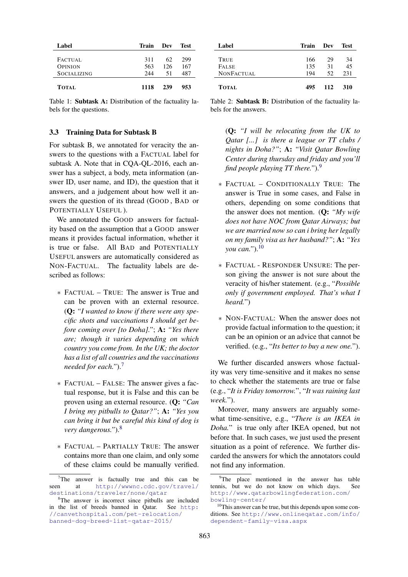| Label              | Train | Dev | Test |  |
|--------------------|-------|-----|------|--|
|                    |       |     |      |  |
| FACTUAL            | 311   | 62  | 299  |  |
| <b>OPINION</b>     | 563   | 126 | 167  |  |
| <b>SOCIALIZING</b> | 244   | 51  | 487  |  |
| <b>TOTAL</b>       | 1118  | 239 | 953  |  |

<span id="page-3-1"></span>Table 1: Subtask A: Distribution of the factuality labels for the questions.

#### <span id="page-3-0"></span>3.3 Training Data for Subtask B

For subtask B, we annotated for veracity the answers to the questions with a FACTUAL label for subtask A. Note that in CQA-QL-2016, each answer has a subject, a body, meta information (answer ID, user name, and ID), the question that it answers, and a judgement about how well it answers the question of its thread (GOOD , BAD or POTENTIALLY USEFUL ).

We annotated the GOOD answers for factuality based on the assumption that a GOOD answer means it provides factual information, whether it is true or false. All BAD and POTENTIALLY USEFUL answers are automatically considered as NON-FACTUAL. The factuality labels are described as follows:

- ∗ FACTUAL TRUE: The answer is True and can be proven with an external resource. (Q: *"I wanted to know if there were any specific shots and vaccinations I should get before coming over [to Doha]."*; A: *"Yes there are; though it varies depending on which country you come from. In the UK; the doctor has a list of all countries and the vaccinations needed for each."*).[7](#page-3-2)
- ∗ FACTUAL FALSE: The answer gives a factual response, but it is False and this can be proven using an external resource. (Q: *"Can I bring my pitbulls to Qatar?"*; A: *"Yes you can bring it but be careful this kind of dog is very dangerous."*).[8](#page-3-3)
- ∗ FACTUAL PARTIALLY TRUE: The answer contains more than one claim, and only some of these claims could be manually verified.

| Label        | Train | Dev | <b>Test</b> |  |
|--------------|-------|-----|-------------|--|
|              |       |     |             |  |
| TRUE         | 166   | 29  | 34          |  |
| <b>FALSE</b> | 135   | 31  | 45          |  |
| NONFACTUAL   | 194   | 52. | 231         |  |
| <b>TOTAL</b> | 495   | 112 | 310         |  |

<span id="page-3-6"></span>Table 2: Subtask B: Distribution of the factuality labels for the answers.

(Q: *"I will be relocating from the UK to Qatar [...] is there a league or TT clubs / nights in Doha?"*; A: *"Visit Qatar Bowling Center during thursday and friday and you'll find people playing TT there."*).[9](#page-3-4)

- ∗ FACTUAL CONDITIONALLY TRUE: The answer is True in some cases, and False in others, depending on some conditions that the answer does not mention. (Q: *"My wife does not have NOC from Qatar Airways; but we are married now so can i bring her legally on my family visa as her husband?"*; A: *"Yes you can."*).[10](#page-3-5)
- ∗ FACTUAL RESPONDER UNSURE: The person giving the answer is not sure about the veracity of his/her statement. (e.g., "*Possible only if government employed. That's what I heard.*")
- ∗ NON-FACTUAL: When the answer does not provide factual information to the question; it can be an opinion or an advice that cannot be verified. (e.g., "*Its better to buy a new one.*").

We further discarded answers whose factuality was very time-sensitive and it makes no sense to check whether the statements are true or false (e.g., "*It is Friday tomorrow.*", "*It was raining last week.*").

Moreover, many answers are arguably somewhat time-sensitive, e.g., "*There is an IKEA in Doha.*" is true only after IKEA opened, but not before that. In such cases, we just used the present situation as a point of reference. We further discarded the answers for which the annotators could not find any information.

<span id="page-3-2"></span> $7$ The answer is factually true and this can be seen at [http://wwwnc.cdc.gov/travel/](http://wwwnc.cdc.gov/travel/destinations/traveler/none/qatar) [destinations/traveler/none/qatar](http://wwwnc.cdc.gov/travel/destinations/traveler/none/qatar)

<span id="page-3-3"></span><sup>8</sup>The answer is incorrect since pitbulls are included in the list of breeds banned in Qatar. See [http:](http://canvethospital.com/pet-relocation/banned-dog-breed-list-qatar-2015/) [//canvethospital.com/pet-relocation/](http://canvethospital.com/pet-relocation/banned-dog-breed-list-qatar-2015/) [banned-dog-breed-list-qatar-2015/](http://canvethospital.com/pet-relocation/banned-dog-breed-list-qatar-2015/)

<span id="page-3-4"></span><sup>&</sup>lt;sup>9</sup>The place mentioned in the answer has table tennis, but we do not know on which days. See [http://www.qatarbowlingfederation.com/](http://www.qatarbowlingfederation.com/bowling-center/) [bowling-center/](http://www.qatarbowlingfederation.com/bowling-center/)

<span id="page-3-5"></span><sup>&</sup>lt;sup>10</sup>This answer can be true, but this depends upon some conditions. See [http://www.onlineqatar.com/info/](http://www.onlineqatar.com/info/dependent-family-visa.aspx) [dependent-family-visa.aspx](http://www.onlineqatar.com/info/dependent-family-visa.aspx)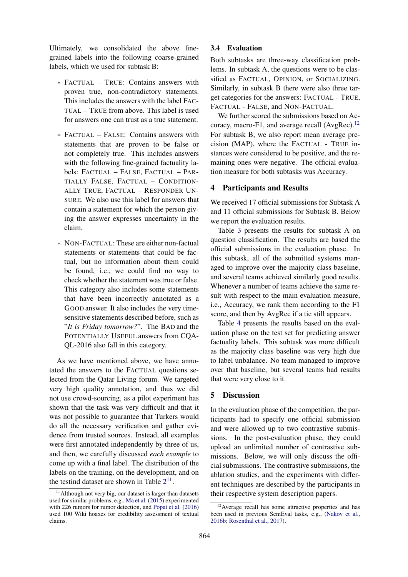Ultimately, we consolidated the above finegrained labels into the following coarse-grained labels, which we used for subtask B:

- ∗ FACTUAL TRUE: Contains answers with proven true, non-contradictory statements. This includes the answers with the label FAC-TUAL – TRUE from above. This label is used for answers one can trust as a true statement.
- ∗ FACTUAL FALSE: Contains answers with statements that are proven to be false or not completely true. This includes answers with the following fine-grained factuality labels: FACTUAL – FALSE, FACTUAL – PAR-TIALLY FALSE, FACTUAL – CONDITION-ALLY TRUE, FACTUAL – RESPONDER UN-SURE. We also use this label for answers that contain a statement for which the person giving the answer expresses uncertainty in the claim.
- ∗ NON-FACTUAL: These are either non-factual statements or statements that could be factual, but no information about them could be found, i.e., we could find no way to check whether the statement was true or false. This category also includes some statements that have been incorrectly annotated as a GOOD answer. It also includes the very timesensitive statements described before, such as "*It is Friday tomorrow?*". The BAD and the POTENTIALLY USEFUL answers from CQA-QL-2016 also fall in this category.

As we have mentioned above, we have annotated the answers to the FACTUAL questions selected from the Qatar Living forum. We targeted very high quality annotation, and thus we did not use crowd-sourcing, as a pilot experiment has shown that the task was very difficult and that it was not possible to guarantee that Turkers would do all the necessary verification and gather evidence from trusted sources. Instead, all examples were first annotated independently by three of us, and then, we carefully discussed *each example* to come up with a final label. The distribution of the labels on the training, on the development, and on the testind dataset are shown in Table  $2^{11}$  $2^{11}$  $2^{11}$  $2^{11}$ .

# 3.4 Evaluation

Both subtasks are three-way classification problems. In subtask A, the questions were to be classified as FACTUAL, OPINION, or SOCIALIZING. Similarly, in subtask B there were also three target categories for the answers: FACTUAL - TRUE, FACTUAL - FALSE, and NON-FACTUAL.

We further scored the submissions based on Accuracy, macro-F1, and average recall  $(AvgRec).<sup>12</sup>$  $(AvgRec).<sup>12</sup>$  $(AvgRec).<sup>12</sup>$ For subtask B, we also report mean average precision (MAP), where the FACTUAL - TRUE instances were considered to be positive, and the remaining ones were negative. The official evaluation measure for both subtasks was Accuracy.

# 4 Participants and Results

We received 17 official submissions for Subtask A and 11 official submissions for Subtask B. Below we report the evaluation results.

Table [3](#page-5-0) presents the results for subtask A on question classification. The results are based the official submissions in the evaluation phase. In this subtask, all of the submitted systems managed to improve over the majority class baseline, and several teams achieved similarly good results. Whenever a number of teams achieve the same result with respect to the main evaluation measure, i.e., Accuracy, we rank them according to the F1 score, and then by AvgRec if a tie still appears.

Table [4](#page-5-1) presents the results based on the evaluation phase on the test set for predicting answer factuality labels. This subtask was more difficult as the majority class baseline was very high due to label unbalance. No team managed to improve over that baseline, but several teams had results that were very close to it.

# 5 Discussion

In the evaluation phase of the competition, the participants had to specify one official submission and were allowed up to two contrastive submissions. In the post-evaluation phase, they could upload an unlimited number of contrastive submissions. Below, we will only discuss the official submissions. The contrastive submissions, the ablation studies, and the experiments with different techniques are described by the participants in their respective system description papers.

<span id="page-4-0"></span><sup>&</sup>lt;sup>11</sup>Although not very big, our dataset is larger than datasets used for similar problems, e.g., [Ma et al.](#page-8-15) [\(2015\)](#page-8-15) experimented with 226 rumors for rumor detection, and [Popat et al.](#page-9-7) [\(2016\)](#page-9-7) used 100 Wiki hoaxes for credibility assessment of textual claims.

<span id="page-4-1"></span><sup>&</sup>lt;sup>12</sup> Average recall has some attractive properties and has been used in previous SemEval tasks, e.g., [\(Nakov et al.,](#page-9-12) [2016b;](#page-9-12) [Rosenthal et al.,](#page-9-13) [2017\)](#page-9-13).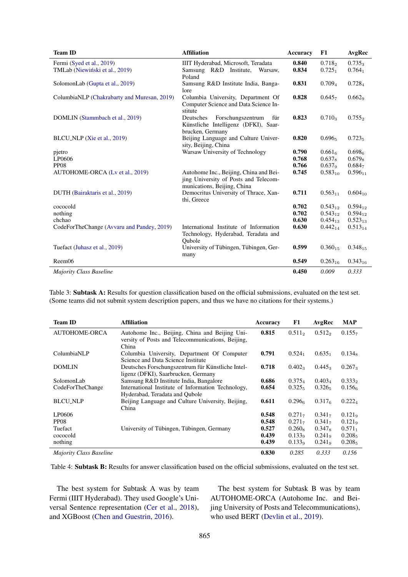| <b>Team ID</b>                              | <b>Affiliation</b>                     | <b>Accuracy</b> | F1                 | AvgRec               |
|---------------------------------------------|----------------------------------------|-----------------|--------------------|----------------------|
| Fermi (Syed et al., 2019)                   | IIIT Hyderabad, Microsoft, Teradata    | 0.840           | 0.718 <sub>2</sub> | $0.735_3$            |
| TMLab (Niewiński et al., 2019)              | Samsung R&D Institute,<br>Warsaw,      | 0.834           | $0.725_1$          | $0.764_1$            |
|                                             | Poland                                 |                 |                    |                      |
| SolomonLab (Gupta et al., 2019)             | Samsung R&D Institute India, Banga-    | 0.831           | 0.709 <sub>4</sub> | 0.7284               |
|                                             | lore                                   |                 |                    |                      |
| ColumbiaNLP (Chakrabarty and Muresan, 2019) | Columbia University, Department Of     | 0.828           | 0.6457             | 0.6629               |
|                                             | Computer Science and Data Science In-  |                 |                    |                      |
|                                             | stitute                                |                 |                    |                      |
| DOMLIN (Stammbach et al., 2019)             | Deutsches<br>Forschungszentrum<br>für  | 0.823           | $0.710_3$          | $0.755$ <sub>2</sub> |
|                                             | Künstliche Intelligenz (DFKI), Saar-   |                 |                    |                      |
|                                             | brucken, Germany                       |                 |                    |                      |
| BLCU_NLP (Xie et al., 2019)                 | Beijing Language and Culture Univer-   | 0.820           | $0.696_5$          | $0.723_5$            |
|                                             | sity, Beijing, China                   |                 |                    |                      |
| pjetro                                      | Warsaw University of Technology        | 0.790           | 0.661 <sub>6</sub> | 0.698 <sub>6</sub>   |
| LP0606                                      |                                        | 0.768           | $0.637_8$          | $0.679_8$            |
| <b>PP08</b>                                 |                                        | 0.766           | 0.637 <sub>9</sub> | 0.684 <sub>7</sub>   |
| AUTOHOME-ORCA (Lv et al., 2019)             | Autohome Inc., Beijing, China and Bei- | 0.745           | $0.583_{10}$       | $0.596_{11}$         |
|                                             | jing University of Posts and Telecom-  |                 |                    |                      |
|                                             | munications, Beijing, China            |                 |                    |                      |
| DUTH (Bairaktaris et al., 2019)             | Democritus University of Thrace, Xan-  | 0.711           | $0.563_{11}$       | $0.604_{10}$         |
|                                             | thi, Greece                            |                 |                    |                      |
| cococold                                    |                                        | 0.702           | $0.543_{12}$       | $0.594_{12}$         |
| nothing                                     |                                        | 0.702           | $0.543_{12}$       | $0.594_{12}$         |
| chchao                                      |                                        | 0.630           | $0.454_{13}$       | $0.523_{13}$         |
| CodeForTheChange (Avvaru and Pandey, 2019)  | International Institute of Information | 0.630           | $0.442_{14}$       | $0.513_{14}$         |
|                                             | Technology, Hyderabad, Teradata and    |                 |                    |                      |
|                                             | Oubole                                 |                 |                    |                      |
| Tuefact (Juhasz et al., 2019)               | University of Tübingen, Tübingen, Ger- | 0.599           | $0.360_{15}$       | $0.348_{15}$         |
|                                             | many                                   |                 |                    |                      |
| Reem06                                      |                                        | 0.549           | $0.263_{16}$       | $0.343_{16}$         |
| <b>Majority Class Baseline</b>              |                                        | 0.450           | 0.009              | 0.333                |

<span id="page-5-0"></span>Table 3: Subtask A: Results for question classification based on the official submissions, evaluated on the test set. (Some teams did not submit system description papers, and thus we have no citations for their systems.)

| <b>Team ID</b>                 | <b>Affiliation</b>                                                                                           | Accuracy | F1                 | AvgRec             | <b>MAP</b>         |
|--------------------------------|--------------------------------------------------------------------------------------------------------------|----------|--------------------|--------------------|--------------------|
| <b>AUTOHOME-ORCA</b>           | Autohome Inc., Beijing, China and Beijing Uni-<br>versity of Posts and Telecommunications, Beijing,<br>China | 0.815    | $0.511_2$          | $0.512_2$          | 0.155              |
| ColumbiaNLP                    | Columbia University, Department Of Computer<br>Science and Data Science Institute                            | 0.791    | $0.524_1$          | 0.635 <sub>1</sub> | $0.134_8$          |
| <b>DOMLIN</b>                  | Deutsches Forschungszentrum für Künstliche Intel-<br>ligenz (DFKI), Saarbrucken, Germany                     | 0.718    | $0.402_3$          | $0.445_3$          | $0.267_3$          |
| SolomonLab                     | Samsung R&D Institute India, Bangalore                                                                       | 0.686    | $0.375_{\rm A}$    | $0.403_{4}$        | $0.333_2$          |
| CodeForTheChange               | International Institute of Information Technology,<br>Hyderabad, Teradata and Qubole                         | 0.654    | 0.325 <sub>5</sub> | 0.326 <sub>5</sub> | 0.1566             |
| <b>BLCU_NLP</b>                | Beijing Language and Culture University, Beijing,<br>China                                                   | 0.611    | 0.2966             | 0.317 <sub>6</sub> | $0.222_4$          |
| LP0606                         |                                                                                                              | 0.548    | $0.271_{7}$        | $0.341_{7}$        | 0.121 <sub>9</sub> |
| PP <sub>08</sub>               |                                                                                                              | 0.548    | $0.271_{7}$        | $0.341_{7}$        | 0.121 <sub>9</sub> |
| Tuefact                        | University of Tübingen, Tübingen, Germany                                                                    | 0.527    | $0.260_8$          | $0.347_8$          | $0.571_1$          |
| cococold                       |                                                                                                              | 0.439    | 0.1339             | $0.241\sigma$      | 0.208 <sub>5</sub> |
| nothing                        |                                                                                                              | 0.439    | $0.133_9$          | 0.241 <sub>9</sub> | $0.208_5$          |
| <b>Majority Class Baseline</b> |                                                                                                              | 0.830    | 0.285              | 0.333              | 0.156              |

<span id="page-5-1"></span>Table 4: Subtask B: Results for answer classification based on the official submissions, evaluated on the test set.

The best system for Subtask A was by team Fermi (IIIT Hyderabad). They used Google's Universal Sentence representation [\(Cer et al.,](#page-7-15) [2018\)](#page-7-15), and XGBoost [\(Chen and Guestrin,](#page-7-16) [2016\)](#page-7-16).

The best system for Subtask B was by team AUTOHOME-ORCA (Autohome Inc. and Beijing University of Posts and Telecommunications), who used BERT [\(Devlin et al.,](#page-7-17) [2019\)](#page-7-17).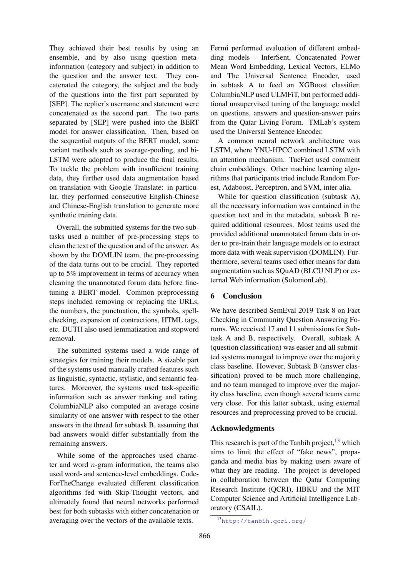They achieved their best results by using an ensemble, and by also using question metainformation (category and subject) in addition to the question and the answer text. They concatenated the category, the subject and the body of the questions into the first part separated by [SEP]. The replier's username and statement were concatenated as the second part. The two parts separated by [SEP] were pushed into the BERT model for answer classification. Then, based on the sequential outputs of the BERT model, some variant methods such as average-pooling, and bi-LSTM were adopted to produce the final results. To tackle the problem with insufficient training data, they further used data augmentation based on translation with Google Translate: in particular, they performed consecutive English-Chinese and Chinese-English translation to generate more synthetic training data.

Overall, the submitted systems for the two subtasks used a number of pre-processing steps to clean the text of the question and of the answer. As shown by the DOMLIN team, the pre-processing of the data turns out to be crucial. They reported up to 5% improvement in terms of accuracy when cleaning the unannotated forum data before finetuning a BERT model. Common preprocessing steps included removing or replacing the URLs, the numbers, the punctuation, the symbols, spellchecking, expansion of contractions, HTML tags, etc. DUTH also used lemmatization and stopword removal.

The submitted systems used a wide range of strategies for training their models. A sizable part of the systems used manually crafted features such as linguistic, syntactic, stylistic, and semantic features. Moreover, the systems used task-specific information such as answer ranking and rating. ColumbiaNLP also computed an average cosine similarity of one answer with respect to the other answers in the thread for subtask B, assuming that bad answers would differ substantially from the remaining answers.

While some of the approaches used character and word  $n$ -gram information, the teams also used word- and sentence-level embeddings. Code-ForTheChange evaluated different classification algorithms fed with Skip-Thought vectors, and ultimately found that neural networks performed best for both subtasks with either concatenation or averaging over the vectors of the available texts.

Fermi performed evaluation of different embedding models - InferSent, Concatenated Power Mean Word Embedding, Lexical Vectors, ELMo and The Universal Sentence Encoder, used in subtask A to feed an XGBoost classifier. ColumbiaNLP used ULMFiT, but performed additional unsupervised tuning of the language model on questions, answers and question-answer pairs from the Qatar Living Forum. TMLab's system used the Universal Sentence Encoder.

A common neural network architecture was LSTM, where YNU-HPCC combined LSTM with an attention mechanism. TueFact used comment chain embeddings. Other machine learning algorithms that participants tried include Random Forest, Adaboost, Perceptron, and SVM, inter alia.

While for question classification (subtask A), all the necessary information was contained in the question text and in the metadata, subtask B required additional resources. Most teams used the provided additional unannotated forum data in order to pre-train their language models or to extract more data with weak supervision (DOMLIN). Furthermore, several teams used other means for data augmentation such as SQuAD (BLCU NLP) or external Web information (SolomonLab).

# 6 Conclusion

We have described SemEval 2019 Task 8 on Fact Checking in Community Question Answering Forums. We received 17 and 11 submissions for Subtask A and B, respectively. Overall, subtask A (question classification) was easier and all submitted systems managed to improve over the majority class baseline. However, Subtask B (answer classification) proved to be much more challenging, and no team managed to improve over the majority class baseline, even though several teams came very close. For this latter subtask, using external resources and preprocessing proved to be crucial.

## Acknowledgments

This research is part of the Tanbih project,  $^{13}$  $^{13}$  $^{13}$  which aims to limit the effect of "fake news", propaganda and media bias by making users aware of what they are reading. The project is developed in collaboration between the Qatar Computing Research Institute (QCRI), HBKU and the MIT Computer Science and Artificial Intelligence Laboratory (CSAIL).

<span id="page-6-0"></span><sup>13</sup><http://tanbih.qcri.org/>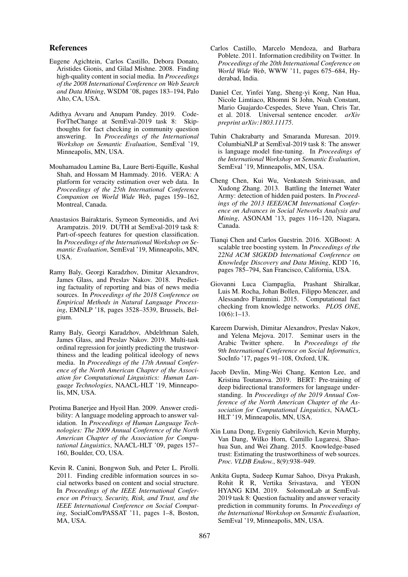## References

- <span id="page-7-4"></span>Eugene Agichtein, Carlos Castillo, Debora Donato, Aristides Gionis, and Gilad Mishne. 2008. Finding high-quality content in social media. In *Proceedings of the 2008 International Conference on Web Search and Data Mining*, WSDM '08, pages 183–194, Palo Alto, CA, USA.
- <span id="page-7-14"></span>Adithya Avvaru and Anupam Pandey. 2019. Code-ForTheChange at SemEval-2019 task 8: Skipthoughts for fact checking in community question answering. In *Proceedings of the International Workshop on Semantic Evaluation*, SemEval '19, Minneapolis, MN, USA.
- <span id="page-7-0"></span>Mouhamadou Lamine Ba, Laure Berti-Equille, Kushal Shah, and Hossam M Hammady. 2016. VERA: A platform for veracity estimation over web data. In *Proceedings of the 25th International Conference Companion on World Wide Web*, pages 159–162, Montreal, Canada.
- <span id="page-7-13"></span>Anastasios Bairaktaris, Symeon Symeonidis, and Avi Arampatzis. 2019. DUTH at SemEval-2019 task 8: Part-of-speech features for question classification. In *Proceedings of the International Workshop on Semantic Evaluation*, SemEval '19, Minneapolis, MN, USA.
- <span id="page-7-2"></span>Ramy Baly, Georgi Karadzhov, Dimitar Alexandrov, James Glass, and Preslav Nakov. 2018. Predicting factuality of reporting and bias of news media sources. In *Proceedings of the 2018 Conference on Empirical Methods in Natural Language Processing*, EMNLP '18, pages 3528–3539, Brussels, Belgium.
- <span id="page-7-10"></span>Ramy Baly, Georgi Karadzhov, Abdelrhman Saleh, James Glass, and Preslav Nakov. 2019. Multi-task ordinal regression for jointly predicting the trustworthiness and the leading political ideology of news media. In *Proceedings of the 17th Annual Conference of the North American Chapter of the Association for Computational Linguistics: Human Language Technologies*, NAACL-HLT '19, Minneapolis, MN, USA.
- <span id="page-7-5"></span>Protima Banerjee and Hyoil Han. 2009. Answer credibility: A language modeling approach to answer validation. In *Proceedings of Human Language Technologies: The 2009 Annual Conference of the North American Chapter of the Association for Computational Linguistics*, NAACL-HLT '09, pages 157– 160, Boulder, CO, USA.
- <span id="page-7-6"></span>Kevin R. Canini, Bongwon Suh, and Peter L. Pirolli. 2011. Finding credible information sources in social networks based on content and social structure. In *Proceedings of the IEEE International Conference on Privacy, Security, Risk, and Trust, and the IEEE International Conference on Social Computing*, SocialCom/PASSAT '11, pages 1–8, Boston, MA, USA.
- <span id="page-7-1"></span>Carlos Castillo, Marcelo Mendoza, and Barbara Poblete. 2011. Information credibility on Twitter. In *Proceedings of the 20th International Conference on World Wide Web*, WWW '11, pages 675–684, Hyderabad, India.
- <span id="page-7-15"></span>Daniel Cer, Yinfei Yang, Sheng-yi Kong, Nan Hua, Nicole Limtiaco, Rhomni St John, Noah Constant, Mario Guajardo-Cespedes, Steve Yuan, Chris Tar, et al. 2018. Universal sentence encoder. *arXiv preprint arXiv:1803.11175*.
- <span id="page-7-12"></span>Tuhin Chakrabarty and Smaranda Muresan. 2019. ColumbiaNLP at SemEval-2019 task 8: The answer is language model fine-tuning. In *Proceedings of the International Workshop on Semantic Evaluation*, SemEval '19, Minneapolis, MN, USA.
- <span id="page-7-7"></span>Cheng Chen, Kui Wu, Venkatesh Srinivasan, and Xudong Zhang. 2013. Battling the Internet Water Army: detection of hidden paid posters. In *Proceedings of the 2013 IEEE/ACM International Conference on Advances in Social Networks Analysis and Mining*, ASONAM '13, pages 116–120, Niagara, Canada.
- <span id="page-7-16"></span>Tianqi Chen and Carlos Guestrin. 2016. XGBoost: A scalable tree boosting system. In *Proceedings of the 22Nd ACM SIGKDD International Conference on Knowledge Discovery and Data Mining*, KDD '16, pages 785–794, San Francisco, California, USA.
- <span id="page-7-3"></span>Giovanni Luca Ciampaglia, Prashant Shiralkar, Luis M. Rocha, Johan Bollen, Filippo Menczer, and Alessandro Flammini. 2015. Computational fact checking from knowledge networks. *PLOS ONE*, 10(6):1–13.
- <span id="page-7-8"></span>Kareem Darwish, Dimitar Alexandrov, Preslav Nakov, and Yelena Mejova. 2017. Seminar users in the Arabic Twitter sphere. In *Proceedings of the 9th International Conference on Social Informatics*, SocInfo '17, pages 91–108, Oxford, UK.
- <span id="page-7-17"></span>Jacob Devlin, Ming-Wei Chang, Kenton Lee, and Kristina Toutanova. 2019. BERT: Pre-training of deep bidirectional transformers for language understanding. In *Proceedings of the 2019 Annual Conference of the North American Chapter of the Association for Computational Linguistics*, NAACL-HLT '19, Minneapolis, MN, USA.
- <span id="page-7-9"></span>Xin Luna Dong, Evgeniy Gabrilovich, Kevin Murphy, Van Dang, Wilko Horn, Camillo Lugaresi, Shaohua Sun, and Wei Zhang. 2015. Knowledge-based trust: Estimating the trustworthiness of web sources. *Proc. VLDB Endow.*, 8(9):938–949.
- <span id="page-7-11"></span>Ankita Gupta, Sudeep Kumar Sahoo, Divya Prakash, Rohit R R, Vertika Srivastava, and YEON HYANG KIM. 2019. SolomonLab at SemEval-2019 task 8: Question factuality and answer veracity prediction in community forums. In *Proceedings of the International Workshop on Semantic Evaluation*, SemEval '19, Minneapolis, MN, USA.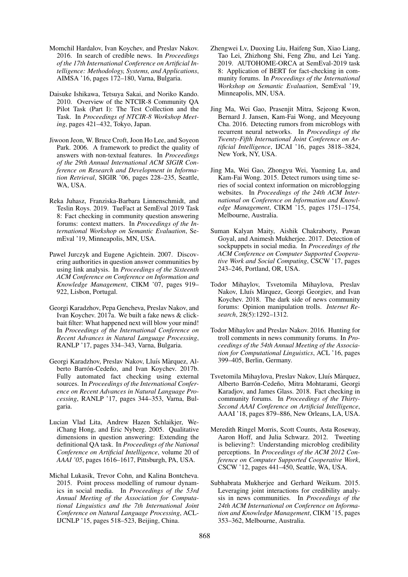- <span id="page-8-13"></span>Momchil Hardalov, Ivan Koychev, and Preslav Nakov. 2016. In search of credible news. In *Proceedings of the 17th International Conference on Artificial Intelligence: Methodology, Systems, and Applications*, AIMSA '16, pages 172–180, Varna, Bulgaria.
- <span id="page-8-1"></span>Daisuke Ishikawa, Tetsuya Sakai, and Noriko Kando. 2010. Overview of the NTCIR-8 Community QA Pilot Task (Part I): The Test Collection and the Task. In *Proceedings of NTCIR-8 Workshop Meeting*, pages 421–432, Tokyo, Japan.
- <span id="page-8-6"></span>Jiwoon Jeon, W. Bruce Croft, Joon Ho Lee, and Soyeon Park. 2006. A framework to predict the quality of answers with non-textual features. In *Proceedings of the 29th Annual International ACM SIGIR Conference on Research and Development in Information Retrieval*, SIGIR '06, pages 228–235, Seattle, WA, USA.
- <span id="page-8-17"></span>Reka Juhasz, Franziska-Barbara Linnenschmidt, and Teslin Roys. 2019. TueFact at SemEval 2019 Task 8: Fact checking in community question answering forums: context matters. In *Proceedings of the International Workshop on Semantic Evaluation*, SemEval '19, Minneapolis, MN, USA.
- <span id="page-8-4"></span>Pawel Jurczyk and Eugene Agichtein. 2007. Discovering authorities in question answer communities by using link analysis. In *Proceedings of the Sixteenth ACM Conference on Conference on Information and Knowledge Management*, CIKM '07, pages 919– 922, Lisbon, Portugal.
- <span id="page-8-14"></span>Georgi Karadzhov, Pepa Gencheva, Preslav Nakov, and Ivan Koychev. 2017a. We built a fake news & clickbait filter: What happened next will blow your mind! In *Proceedings of the International Conference on Recent Advances in Natural Language Processing*, RANLP '17, pages 334–343, Varna, Bulgaria.
- <span id="page-8-9"></span>Georgi Karadzhov, Preslav Nakov, Lluís Màrquez, Alberto Barrón-Cedeño, and Ivan Koychev. 2017b. Fully automated fact checking using external sources. In *Proceedings of the International Conference on Recent Advances in Natural Language Processing*, RANLP '17, pages 344–353, Varna, Bulgaria.
- <span id="page-8-5"></span>Lucian Vlad Lita, Andrew Hazen Schlaikjer, WeiChang Hong, and Eric Nyberg. 2005. Qualitative dimensions in question answering: Extending the definitional QA task. In *Proceedings of the National Conference on Artificial Intelligence*, volume 20 of *AAAI '05*, pages 1616–1617, Pittsburgh, PA, USA.
- <span id="page-8-8"></span>Michal Lukasik, Trevor Cohn, and Kalina Bontcheva. 2015. Point process modelling of rumour dynamics in social media. In *Proceedings of the 53rd Annual Meeting of the Association for Computational Linguistics and the 7th International Joint Conference on Natural Language Processing*, ACL-IJCNLP '15, pages 518–523, Beijing, China.
- <span id="page-8-16"></span>Zhengwei Lv, Duoxing Liu, Haifeng Sun, Xiao Liang, Tao Lei, Zhizhong Shi, Feng Zhu, and Lei Yang. 2019. AUTOHOME-ORCA at SemEval-2019 task 8: Application of BERT for fact-checking in community forums. In *Proceedings of the International Workshop on Semantic Evaluation*, SemEval '19, Minneapolis, MN, USA.
- <span id="page-8-0"></span>Jing Ma, Wei Gao, Prasenjit Mitra, Sejeong Kwon, Bernard J. Jansen, Kam-Fai Wong, and Meeyoung Cha. 2016. Detecting rumors from microblogs with recurrent neural networks. In *Proceedings of the Twenty-Fifth International Joint Conference on Artificial Intelligence*, IJCAI '16, pages 3818–3824, New York, NY, USA.
- <span id="page-8-15"></span>Jing Ma, Wei Gao, Zhongyu Wei, Yueming Lu, and Kam-Fai Wong. 2015. Detect rumors using time series of social context information on microblogging websites. In *Proceedings of the 24th ACM International on Conference on Information and Knowledge Management*, CIKM '15, pages 1751–1754, Melbourne, Australia.
- <span id="page-8-11"></span>Suman Kalyan Maity, Aishik Chakraborty, Pawan Goyal, and Animesh Mukherjee. 2017. Detection of sockpuppets in social media. In *Proceedings of the ACM Conference on Computer Supported Cooperative Work and Social Computing*, CSCW '17, pages 243–246, Portland, OR, USA.
- <span id="page-8-3"></span>Todor Mihaylov, Tsvetomila Mihaylova, Preslav Nakov, Lluís Màrquez, Georgi Georgiev, and Ivan Koychev. 2018. The dark side of news community forums: Opinion manipulation trolls. *Internet Research*, 28(5):1292–1312.
- <span id="page-8-10"></span>Todor Mihaylov and Preslav Nakov. 2016. Hunting for troll comments in news community forums. In *Proceedings of the 54th Annual Meeting of the Association for Computational Linguistics*, ACL '16, pages 399–405, Berlin, Germany.
- <span id="page-8-2"></span>Tsvetomila Mihaylova, Preslav Nakov, Lluís Màrquez, Alberto Barrón-Cedeño, Mitra Mohtarami, Georgi Karadjov, and James Glass. 2018. Fact checking in community forums. In *Proceedings of the Thirty-Second AAAI Conference on Artificial Intelligence*, AAAI '18, pages 879–886, New Orleans, LA, USA.
- <span id="page-8-7"></span>Meredith Ringel Morris, Scott Counts, Asta Roseway, Aaron Hoff, and Julia Schwarz. 2012. Tweeting is believing?: Understanding microblog credibility perceptions. In *Proceedings of the ACM 2012 Conference on Computer Supported Cooperative Work*, CSCW '12, pages 441–450, Seattle, WA, USA.
- <span id="page-8-12"></span>Subhabrata Mukherjee and Gerhard Weikum. 2015. Leveraging joint interactions for credibility analysis in news communities. In *Proceedings of the 24th ACM International on Conference on Information and Knowledge Management*, CIKM '15, pages 353–362, Melbourne, Australia.